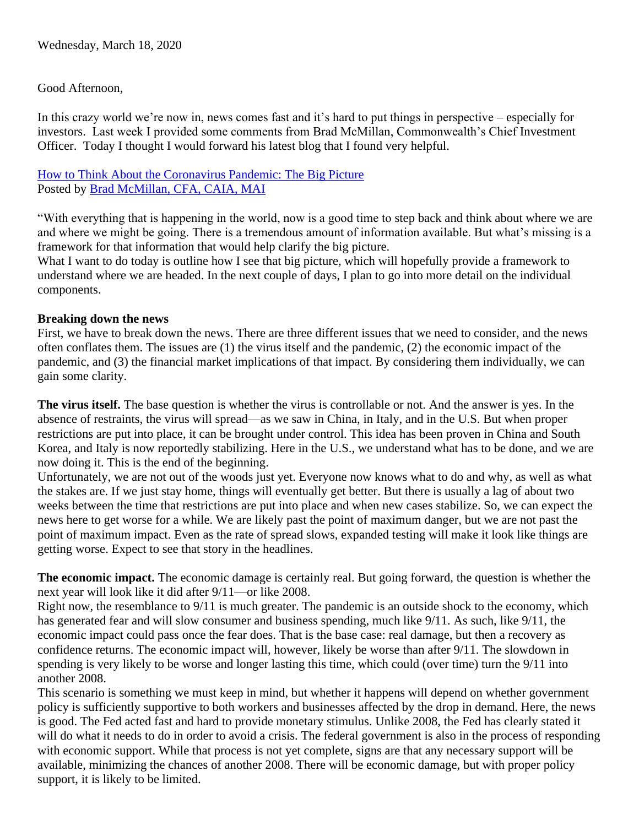## Good Afternoon,

In this crazy world we're now in, news comes fast and it's hard to put things in perspective – especially for investors. Last week I provided some comments from Brad McMillan, Commonwealth's Chief Investment Officer. Today I thought I would forward his latest blog that I found very helpful.

[How to Think About the Coronavirus Pandemic: The Big Picture](https://blog.commonwealth.com/independent-market-observer/how-to-think-about-the-coronavirus-pandemic-the-big-picture) Posted by [Brad McMillan, CFA, CAIA, MAI](https://blog.commonwealth.com/independent-market-observer/author/brad-mcmillan-cfa-caia-mai)

"With everything that is happening in the world, now is a good time to step back and think about where we are and where we might be going. There is a tremendous amount of information available. But what's missing is a framework for that information that would help clarify the big picture.

What I want to do today is outline how I see that big picture, which will hopefully provide a framework to understand where we are headed. In the next couple of days, I plan to go into more detail on the individual components.

## **Breaking down the news**

First, we have to break down the news. There are three different issues that we need to consider, and the news often conflates them. The issues are (1) the virus itself and the pandemic, (2) the economic impact of the pandemic, and (3) the financial market implications of that impact. By considering them individually, we can gain some clarity.

**The virus itself.** The base question is whether the virus is controllable or not. And the answer is yes. In the absence of restraints, the virus will spread—as we saw in China, in Italy, and in the U.S. But when proper restrictions are put into place, it can be brought under control. This idea has been proven in China and South Korea, and Italy is now reportedly stabilizing. Here in the U.S., we understand what has to be done, and we are now doing it. This is the end of the beginning.

Unfortunately, we are not out of the woods just yet. Everyone now knows what to do and why, as well as what the stakes are. If we just stay home, things will eventually get better. But there is usually a lag of about two weeks between the time that restrictions are put into place and when new cases stabilize. So, we can expect the news here to get worse for a while. We are likely past the point of maximum danger, but we are not past the point of maximum impact. Even as the rate of spread slows, expanded testing will make it look like things are getting worse. Expect to see that story in the headlines.

**The economic impact.** The economic damage is certainly real. But going forward, the question is whether the next year will look like it did after 9/11—or like 2008.

Right now, the resemblance to 9/11 is much greater. The pandemic is an outside shock to the economy, which has generated fear and will slow consumer and business spending, much like 9/11. As such, like 9/11, the economic impact could pass once the fear does. That is the base case: real damage, but then a recovery as confidence returns. The economic impact will, however, likely be worse than after 9/11. The slowdown in spending is very likely to be worse and longer lasting this time, which could (over time) turn the 9/11 into another 2008.

This scenario is something we must keep in mind, but whether it happens will depend on whether government policy is sufficiently supportive to both workers and businesses affected by the drop in demand. Here, the news is good. The Fed acted fast and hard to provide monetary stimulus. Unlike 2008, the Fed has clearly stated it will do what it needs to do in order to avoid a crisis. The federal government is also in the process of responding with economic support. While that process is not yet complete, signs are that any necessary support will be available, minimizing the chances of another 2008. There will be economic damage, but with proper policy support, it is likely to be limited.